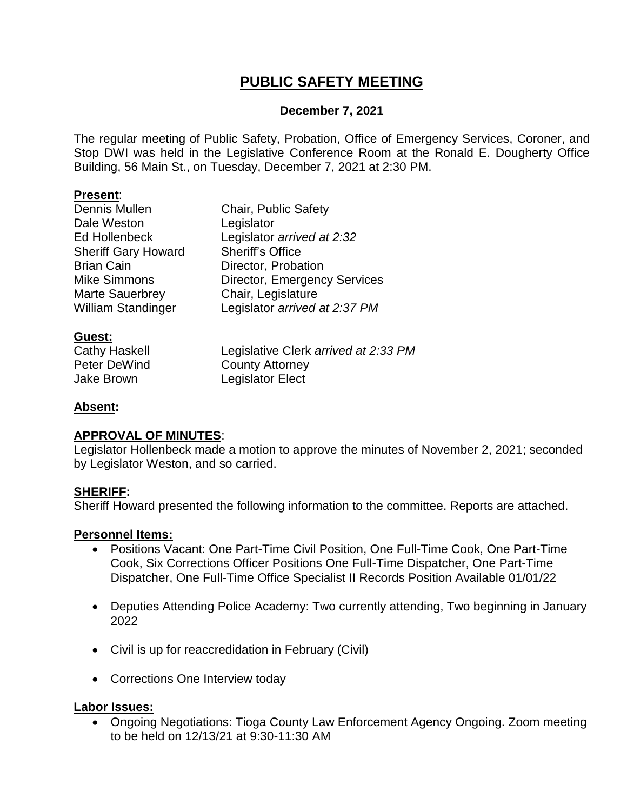# **PUBLIC SAFETY MEETING**

### **December 7, 2021**

The regular meeting of Public Safety, Probation, Office of Emergency Services, Coroner, and Stop DWI was held in the Legislative Conference Room at the Ronald E. Dougherty Office Building, 56 Main St., on Tuesday, December 7, 2021 at 2:30 PM.

#### **Present**:

| Dennis Mullen              | <b>Chair, Public Safety</b>         |
|----------------------------|-------------------------------------|
| Dale Weston                | Legislator                          |
| Ed Hollenbeck              | Legislator arrived at 2:32          |
| <b>Sheriff Gary Howard</b> | <b>Sheriff's Office</b>             |
| <b>Brian Cain</b>          | Director, Probation                 |
| <b>Mike Simmons</b>        | <b>Director, Emergency Services</b> |
| <b>Marte Sauerbrey</b>     | Chair, Legislature                  |
| <b>William Standinger</b>  | Legislator arrived at 2:37 PM       |
|                            |                                     |

# **Guest:**

Cathy Haskell Legislative Clerk *arrived at 2:33 PM* Peter DeWind County Attorney Jake Brown Legislator Elect

#### **Absent:**

# **APPROVAL OF MINUTES**:

Legislator Hollenbeck made a motion to approve the minutes of November 2, 2021; seconded by Legislator Weston, and so carried.

#### **SHERIFF:**

Sheriff Howard presented the following information to the committee. Reports are attached.

#### **Personnel Items:**

- Positions Vacant: One Part-Time Civil Position, One Full-Time Cook, One Part-Time Cook, Six Corrections Officer Positions One Full-Time Dispatcher, One Part-Time Dispatcher, One Full-Time Office Specialist II Records Position Available 01/01/22
- Deputies Attending Police Academy: Two currently attending, Two beginning in January 2022
- Civil is up for reaccredidation in February (Civil)
- Corrections One Interview today

#### **Labor Issues:**

• Ongoing Negotiations: Tioga County Law Enforcement Agency Ongoing. Zoom meeting to be held on 12/13/21 at 9:30-11:30 AM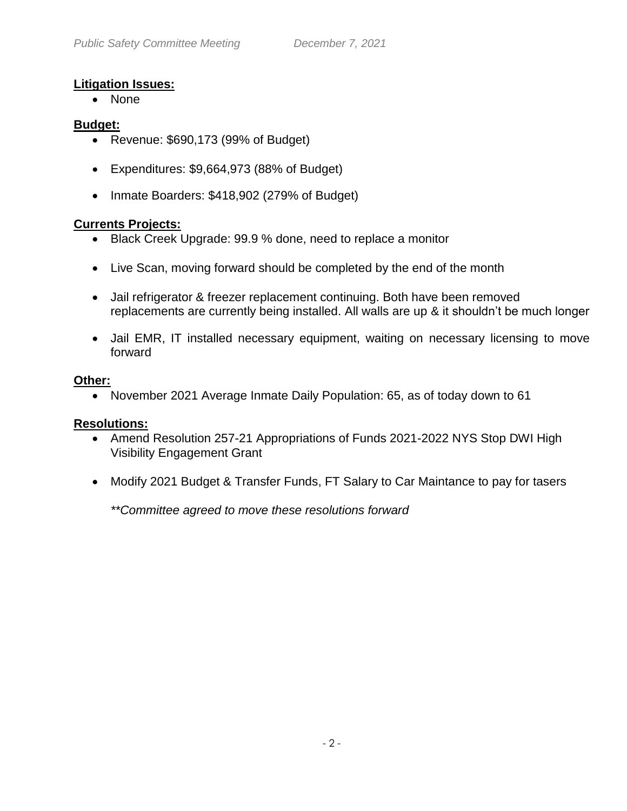# **Litigation Issues:**

• None

### **Budget:**

- Revenue: \$690,173 (99% of Budget)
- Expenditures: \$9,664,973 (88% of Budget)
- Inmate Boarders: \$418,902 (279% of Budget)

# **Currents Projects:**

- Black Creek Upgrade: 99.9 % done, need to replace a monitor
- Live Scan, moving forward should be completed by the end of the month
- Jail refrigerator & freezer replacement continuing. Both have been removed replacements are currently being installed. All walls are up & it shouldn't be much longer
- Jail EMR, IT installed necessary equipment, waiting on necessary licensing to move forward

### **Other:**

November 2021 Average Inmate Daily Population: 65, as of today down to 61

#### **Resolutions:**

- Amend Resolution 257-21 Appropriations of Funds 2021-2022 NYS Stop DWI High Visibility Engagement Grant
- Modify 2021 Budget & Transfer Funds, FT Salary to Car Maintance to pay for tasers

*\*\*Committee agreed to move these resolutions forward*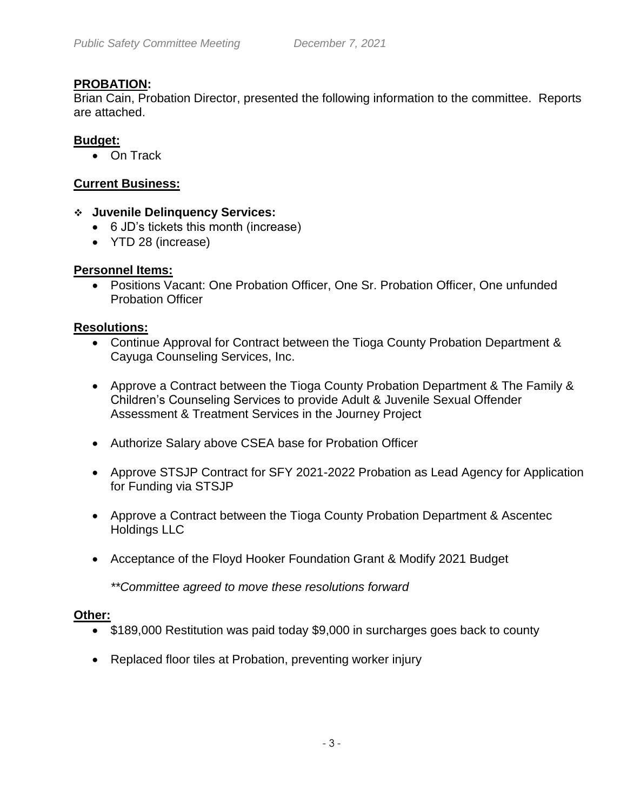# **PROBATION:**

Brian Cain, Probation Director, presented the following information to the committee. Reports are attached.

### **Budget:**

• On Track

### **Current Business:**

#### **Juvenile Delinquency Services:**

- 6 JD's tickets this month (increase)
- YTD 28 (increase)

#### **Personnel Items:**

 Positions Vacant: One Probation Officer, One Sr. Probation Officer, One unfunded Probation Officer

#### **Resolutions:**

- Continue Approval for Contract between the Tioga County Probation Department & Cayuga Counseling Services, Inc.
- Approve a Contract between the Tioga County Probation Department & The Family & Children's Counseling Services to provide Adult & Juvenile Sexual Offender Assessment & Treatment Services in the Journey Project
- Authorize Salary above CSEA base for Probation Officer
- Approve STSJP Contract for SFY 2021-2022 Probation as Lead Agency for Application for Funding via STSJP
- Approve a Contract between the Tioga County Probation Department & Ascentec Holdings LLC
- Acceptance of the Floyd Hooker Foundation Grant & Modify 2021 Budget

*\*\*Committee agreed to move these resolutions forward*

#### **Other:**

- \$189,000 Restitution was paid today \$9,000 in surcharges goes back to county
- Replaced floor tiles at Probation, preventing worker injury